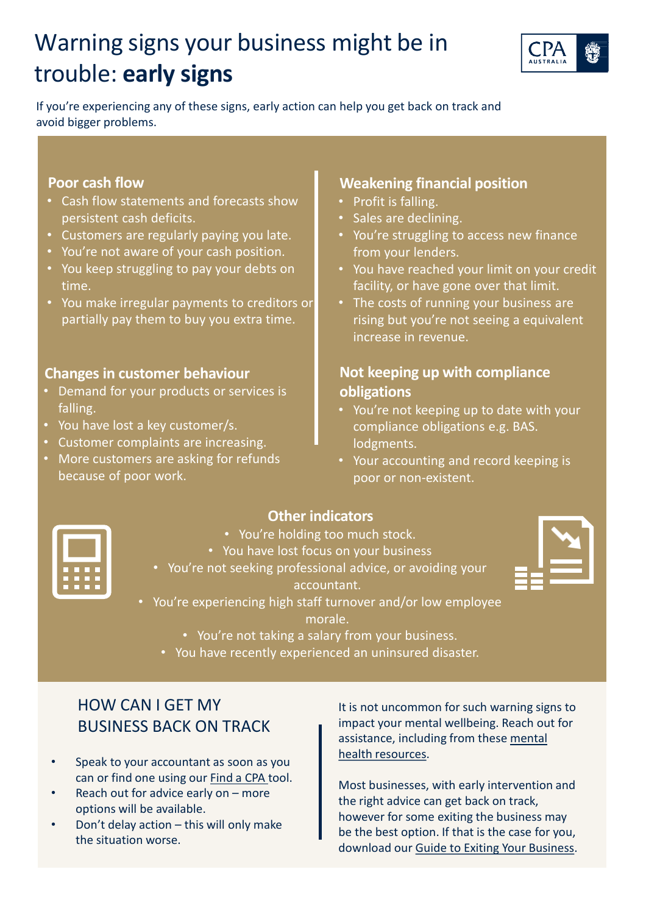# Warning signs your business might be in trouble: **early signs**



If you're experiencing any of these signs, early action can help you get back on track and avoid bigger problems.

#### **Poor cash flow**

- Cash flow statements and forecasts show persistent cash deficits.
- Customers are regularly paying you late.
- You're not aware of your cash position.
- You keep struggling to pay your debts on time.
- You make irregular payments to creditors or partially pay them to buy you extra time.

### **Changes in customer behaviour**

- Demand for your products or services is falling.
- You have lost a key customer/s.
- Customer complaints are increasing.
- More customers are asking for refunds because of poor work.

### **Weakening financial position**

- Profit is falling.
- Sales are declining.
- You're struggling to access new finance from your lenders.
- You have reached your limit on your credit facility, or have gone over that limit.
- The costs of running your business are rising but you're not seeing a equivalent increase in revenue.

# **Not keeping up with compliance obligations**

- You're not keeping up to date with your compliance obligations e.g. BAS. lodgments.
- Your accounting and record keeping is poor or non-existent.



# **Other indicators**

- You're holding too much stock.
- You have lost focus on your business
- You're not seeking professional advice, or avoiding your

accountant.

- You're experiencing high staff turnover and/or low employee morale.
	- You're not taking a salary from your business.
	- You have recently experienced an uninsured disaster.

# HOW CAN I GET MY BUSINESS BACK ON TRACK

- Speak to your accountant as soon as you can or find one using our [Find a CPA](https://www.cpaaustralia.com.au/FindACpa/Locate.mvc/Index) tool.
- Reach out for advice early on more options will be available.
- Don't delay action this will only make the situation worse.

It is not uncommon for such warning signs to impact your mental wellbeing. Reach out for [assistance, including from these mental](https://www.business.vic.gov.au/disputes-disasters-and-succession-planning/mental-health-in-business) health resources.

Most businesses, with early intervention and the right advice can get back on track, however for some exiting the business may be the best option. If that is the case for you, download our [Guide to Exiting Your Business.](https://www.cpaaustralia.com.au/-/media/corporate/allfiles/document/professional-resources/business/exiting-your-business.pdf?la=en&rev=70970a9636a54b0d84a317a19ac6b6c0)